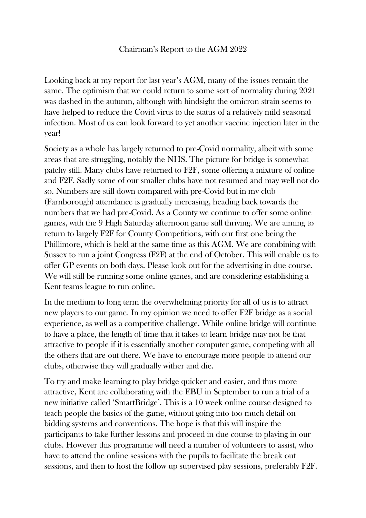## Chairman's Report to the AGM 2022

Looking back at my report for last year's AGM, many of the issues remain the same. The optimism that we could return to some sort of normality during 2021 was dashed in the autumn, although with hindsight the omicron strain seems to have helped to reduce the Covid virus to the status of a relatively mild seasonal infection. Most of us can look forward to yet another vaccine injection later in the year!

Society as a whole has largely returned to pre-Covid normality, albeit with some areas that are struggling, notably the NHS. The picture for bridge is somewhat patchy still. Many clubs have returned to F2F, some offering a mixture of online and F2F. Sadly some of our smaller clubs have not resumed and may well not do so. Numbers are still down compared with pre-Covid but in my club (Farnborough) attendance is gradually increasing, heading back towards the numbers that we had pre-Covid. As a County we continue to offer some online games, with the 9 High Saturday afternoon game still thriving. We are aiming to return to largely F2F for County Competitions, with our first one being the Phillimore, which is held at the same time as this AGM. We are combining with Sussex to run a joint Congress (F2F) at the end of October. This will enable us to offer GP events on both days. Please look out for the advertising in due course. We will still be running some online games, and are considering establishing a Kent teams league to run online.

In the medium to long term the overwhelming priority for all of us is to attract new players to our game. In my opinion we need to offer F2F bridge as a social experience, as well as a competitive challenge. While online bridge will continue to have a place, the length of time that it takes to learn bridge may not be that attractive to people if it is essentially another computer game, competing with all the others that are out there. We have to encourage more people to attend our clubs, otherwise they will gradually wither and die.

To try and make learning to play bridge quicker and easier, and thus more attractive, Kent are collaborating with the EBU in September to run a trial of a new initiative called 'SmartBridge'. This is a 10 week online course designed to teach people the basics of the game, without going into too much detail on bidding systems and conventions. The hope is that this will inspire the participants to take further lessons and proceed in due course to playing in our clubs. However this programme will need a number of volunteers to assist, who have to attend the online sessions with the pupils to facilitate the break out sessions, and then to host the follow up supervised play sessions, preferably F2F.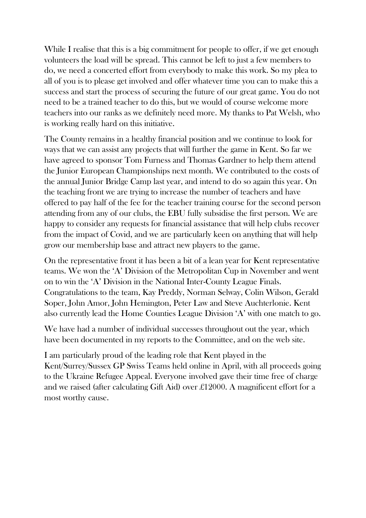While I realise that this is a big commitment for people to offer, if we get enough volunteers the load will be spread. This cannot be left to just a few members to do, we need a concerted effort from everybody to make this work. So my plea to all of you is to please get involved and offer whatever time you can to make this a success and start the process of securing the future of our great game. You do not need to be a trained teacher to do this, but we would of course welcome more teachers into our ranks as we definitely need more. My thanks to Pat Welsh, who is working really hard on this initiative.

The County remains in a healthy financial position and we continue to look for ways that we can assist any projects that will further the game in Kent. So far we have agreed to sponsor Tom Furness and Thomas Gardner to help them attend the Junior European Championships next month. We contributed to the costs of the annual Junior Bridge Camp last year, and intend to do so again this year. On the teaching front we are trying to increase the number of teachers and have offered to pay half of the fee for the teacher training course for the second person attending from any of our clubs, the EBU fully subsidise the first person. We are happy to consider any requests for financial assistance that will help clubs recover from the impact of Covid, and we are particularly keen on anything that will help grow our membership base and attract new players to the game.

On the representative front it has been a bit of a lean year for Kent representative teams. We won the 'A' Division of the Metropolitan Cup in November and went on to win the 'A' Division in the National Inter-County League Finals. Congratulations to the team, Kay Preddy, Norman Selway, Colin Wilson, Gerald Soper, John Amor, John Hemington, Peter Law and Steve Auchterlonie. Kent also currently lead the Home Counties League Division 'A' with one match to go.

We have had a number of individual successes throughout out the year, which have been documented in my reports to the Committee, and on the web site.

I am particularly proud of the leading role that Kent played in the Kent/Surrey/Sussex GP Swiss Teams held online in April, with all proceeds going to the Ukraine Refugee Appeal. Everyone involved gave their time free of charge and we raised (after calculating Gift Aid) over £12000. A magnificent effort for a most worthy cause.